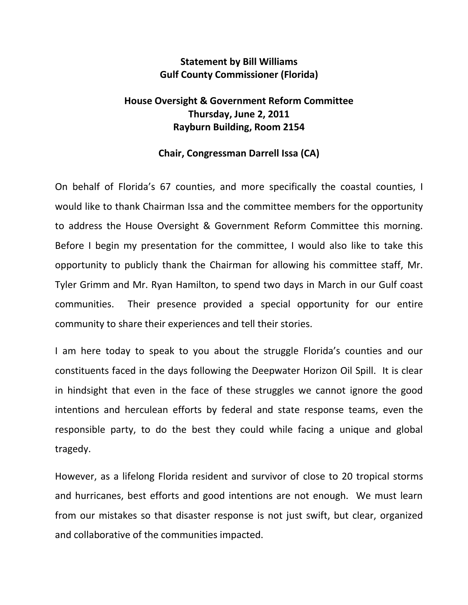## **Statement by Bill Williams Gulf County Commissioner (Florida)**

## **House Oversight & Government Reform Committee Thursday, June 2, 2011 Rayburn Building, Room 2154**

## **Chair, Congressman Darrell Issa (CA)**

On behalf of Florida's 67 counties, and more specifically the coastal counties, I would like to thank Chairman Issa and the committee members for the opportunity to address the House Oversight & Government Reform Committee this morning. Before I begin my presentation for the committee, I would also like to take this opportunity to publicly thank the Chairman for allowing his committee staff, Mr. Tyler Grimm and Mr. Ryan Hamilton, to spend two days in March in our Gulf coast communities. Their presence provided a special opportunity for our entire community to share their experiences and tell their stories.

I am here today to speak to you about the struggle Florida's counties and our constituents faced in the days following the Deepwater Horizon Oil Spill. It is clear in hindsight that even in the face of these struggles we cannot ignore the good intentions and herculean efforts by federal and state response teams, even the responsible party, to do the best they could while facing a unique and global tragedy.

However, as a lifelong Florida resident and survivor of close to 20 tropical storms and hurricanes, best efforts and good intentions are not enough. We must learn from our mistakes so that disaster response is not just swift, but clear, organized and collaborative of the communities impacted.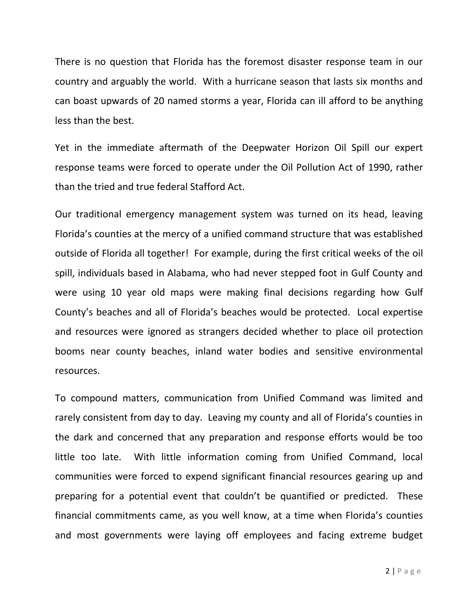There is no question that Florida has the foremost disaster response team in our country and arguably the world. With a hurricane season that lasts six months and can boast upwards of 20 named storms a year, Florida can ill afford to be anything less than the best.

Yet in the immediate aftermath of the Deepwater Horizon Oil Spill our expert response teams were forced to operate under the Oil Pollution Act of 1990, rather than the tried and true federal Stafford Act.

Our traditional emergency management system was turned on its head, leaving Florida's counties at the mercy of a unified command structure that was established outside of Florida all together! For example, during the first critical weeks of the oil spill, individuals based in Alabama, who had never stepped foot in Gulf County and were using 10 year old maps were making final decisions regarding how Gulf County's beaches and all of Florida's beaches would be protected. Local expertise and resources were ignored as strangers decided whether to place oil protection booms near county beaches, inland water bodies and sensitive environmental resources.

To compound matters, communication from Unified Command was limited and rarely consistent from day to day. Leaving my county and all of Florida's counties in the dark and concerned that any preparation and response efforts would be too little too late. With little information coming from Unified Command, local communities were forced to expend significant financial resources gearing up and preparing for a potential event that couldn't be quantified or predicted. These financial commitments came, as you well know, at a time when Florida's counties and most governments were laying off employees and facing extreme budget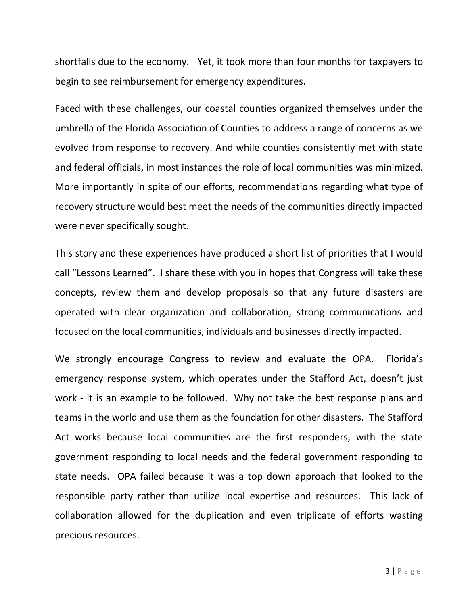shortfalls due to the economy. Yet, it took more than four months for taxpayers to begin to see reimbursement for emergency expenditures.

Faced with these challenges, our coastal counties organized themselves under the umbrella of the Florida Association of Counties to address a range of concerns as we evolved from response to recovery. And while counties consistently met with state and federal officials, in most instances the role of local communities was minimized. More importantly in spite of our efforts, recommendations regarding what type of recovery structure would best meet the needs of the communities directly impacted were never specifically sought.

This story and these experiences have produced a short list of priorities that I would call "Lessons Learned". I share these with you in hopes that Congress will take these concepts, review them and develop proposals so that any future disasters are operated with clear organization and collaboration, strong communications and focused on the local communities, individuals and businesses directly impacted.

We strongly encourage Congress to review and evaluate the OPA. Florida's emergency response system, which operates under the Stafford Act, doesn't just work - it is an example to be followed. Why not take the best response plans and teams in the world and use them as the foundation for other disasters. The Stafford Act works because local communities are the first responders, with the state government responding to local needs and the federal government responding to state needs. OPA failed because it was a top down approach that looked to the responsible party rather than utilize local expertise and resources. This lack of collaboration allowed for the duplication and even triplicate of efforts wasting precious resources.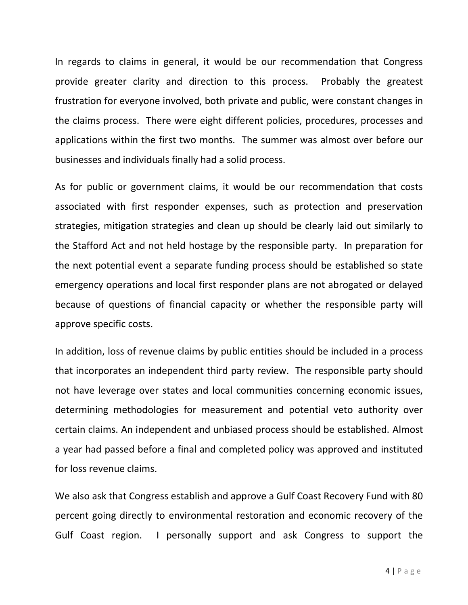In regards to claims in general, it would be our recommendation that Congress provide greater clarity and direction to this process. Probably the greatest frustration for everyone involved, both private and public, were constant changes in the claims process. There were eight different policies, procedures, processes and applications within the first two months. The summer was almost over before our businesses and individuals finally had a solid process.

As for public or government claims, it would be our recommendation that costs associated with first responder expenses, such as protection and preservation strategies, mitigation strategies and clean up should be clearly laid out similarly to the Stafford Act and not held hostage by the responsible party. In preparation for the next potential event a separate funding process should be established so state emergency operations and local first responder plans are not abrogated or delayed because of questions of financial capacity or whether the responsible party will approve specific costs.

In addition, loss of revenue claims by public entities should be included in a process that incorporates an independent third party review. The responsible party should not have leverage over states and local communities concerning economic issues, determining methodologies for measurement and potential veto authority over certain claims. An independent and unbiased process should be established. Almost a year had passed before a final and completed policy was approved and instituted for loss revenue claims.

We also ask that Congress establish and approve a Gulf Coast Recovery Fund with 80 percent going directly to environmental restoration and economic recovery of the Gulf Coast region. I personally support and ask Congress to support the